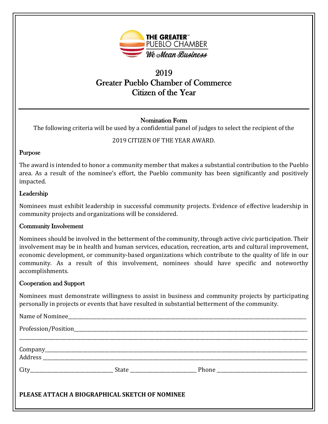

# 2019 Greater Pueblo Chamber of Commerce Citizen of the Year

# Nomination Form

The following criteria will be used by a confidential panel of judges to select the recipient of the

# 2019 CITIZEN OF THE YEAR AWARD.

#### Purpose

The award is intended to honor a community member that makes a substantial contribution to the Pueblo area. As a result of the nominee's effort, the Pueblo community has been significantly and positively impacted.

## Leadership

Nominees must exhibit leadership in successful community projects. Evidence of effective leadership in community projects and organizations will be considered.

## Community Involvement

Nominees should be involved in the betterment of the community, through active civic participation. Their involvement may be in health and human services, education, recreation, arts and cultural improvement, economic development, or community-based organizations which contribute to the quality of life in our community. As a result of this involvement, nominees should have specific and noteworthy accomplishments.

## Cooperation and Support

Nominees must demonstrate willingness to assist in business and community projects by participating personally in projects or events that have resulted in substantial betterment of the community.

| PLEASE ATTACH A BIOGRAPHICAL SKETCH OF NOMINEE |  |  |
|------------------------------------------------|--|--|